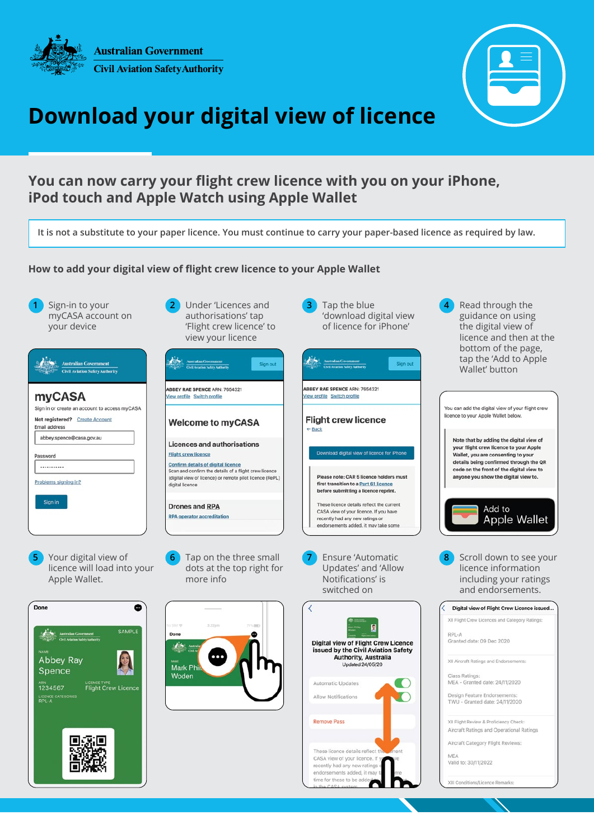

**Australian Government Civil Aviation Safety Authority** 



# **Download your digital view of licence**

### **You can now carry your flight crew licence with you on your iPhone, iPod touch and Apple Watch using Apple Wallet**

**It is not a substitute to your paper licence. You must continue to carry your paper-based licence as required by law.**

#### **How to add your digital view of flight crew licence to your Apple Wallet**